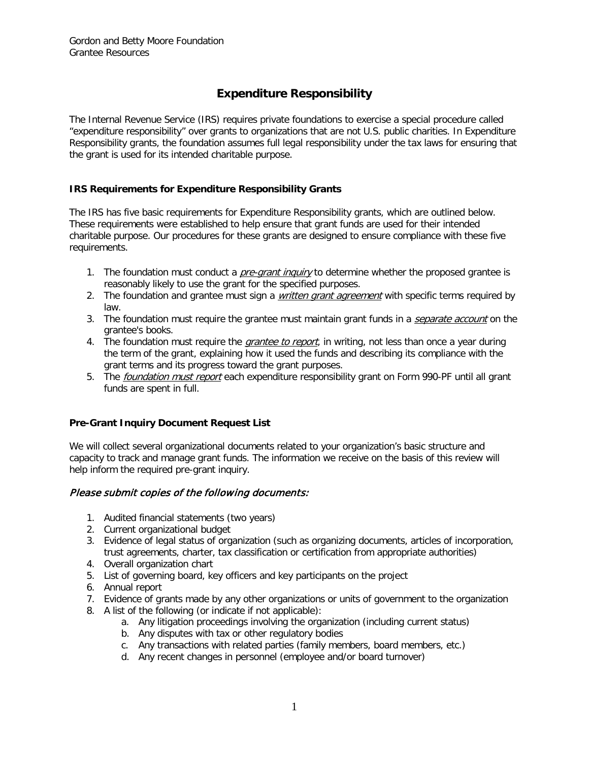# **Expenditure Responsibility**

The Internal Revenue Service (IRS) requires private foundations to exercise a special procedure called "expenditure responsibility" over grants to organizations that are not U.S. public charities. In Expenditure Responsibility grants, the foundation assumes full legal responsibility under the tax laws for ensuring that the grant is used for its intended charitable purpose.

## **IRS Requirements for Expenditure Responsibility Grants**

The IRS has five basic requirements for Expenditure Responsibility grants, which are outlined below. These requirements were established to help ensure that grant funds are used for their intended charitable purpose. Our procedures for these grants are designed to ensure compliance with these five requirements.

- 1. The foundation must conduct a *pre-grant inquiry* to determine whether the proposed grantee is reasonably likely to use the grant for the specified purposes.
- 2. The foundation and grantee must sign a *written grant agreement* with specific terms required by law.
- 3. The foundation must require the grantee must maintain grant funds in a *separate account* on the grantee's books.
- 4. The foundation must require the *grantee to report*, in writing, not less than once a year during the term of the grant, explaining how it used the funds and describing its compliance with the grant terms and its progress toward the grant purposes.
- 5. The *foundation must report* each expenditure responsibility grant on Form 990-PF until all grant funds are spent in full.

#### **Pre-Grant Inquiry Document Request List**

We will collect several organizational documents related to your organization's basic structure and capacity to track and manage grant funds. The information we receive on the basis of this review will help inform the required pre-grant inquiry.

#### Please submit copies of the following documents:

- 1. Audited financial statements (two years)
- 2. Current organizational budget
- 3. Evidence of legal status of organization (such as organizing documents, articles of incorporation, trust agreements, charter, tax classification or certification from appropriate authorities)
- 4. Overall organization chart
- 5. List of governing board, key officers and key participants on the project
- 6. Annual report
- 7. Evidence of grants made by any other organizations or units of government to the organization
- 8. A list of the following (or indicate if not applicable):
	- a. Any litigation proceedings involving the organization (including current status)
	- b. Any disputes with tax or other regulatory bodies
	- c. Any transactions with related parties (family members, board members, etc.)
	- d. Any recent changes in personnel (employee and/or board turnover)